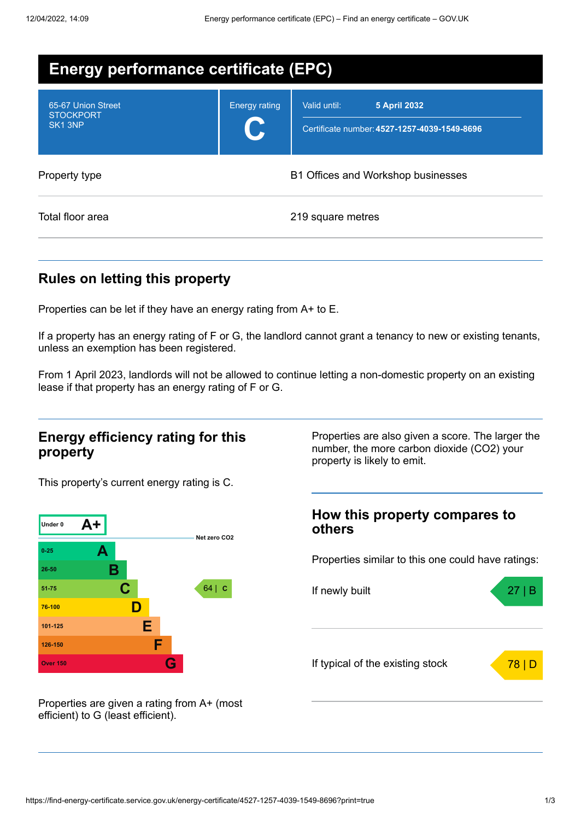| <b>Energy performance certificate (EPC)</b>                   |                      |                                                                                     |  |
|---------------------------------------------------------------|----------------------|-------------------------------------------------------------------------------------|--|
| 65-67 Union Street<br><b>STOCKPORT</b><br>SK <sub>1</sub> 3NP | <b>Energy rating</b> | Valid until:<br><b>5 April 2032</b><br>Certificate number: 4527-1257-4039-1549-8696 |  |
| Property type                                                 |                      | B1 Offices and Workshop businesses                                                  |  |
| Total floor area                                              |                      | 219 square metres                                                                   |  |

## **Rules on letting this property**

Properties can be let if they have an energy rating from A+ to E.

If a property has an energy rating of F or G, the landlord cannot grant a tenancy to new or existing tenants, unless an exemption has been registered.

From 1 April 2023, landlords will not be allowed to continue letting a non-domestic property on an existing lease if that property has an energy rating of F or G.

### **Energy efficiency rating for this property**

Properties are also given a score. The larger the number, the more carbon dioxide (CO2) your property is likely to emit.

This property's current energy rating is C.



**How this property compares to others**

Properties similar to this one could have ratings:



Properties are given a rating from A+ (most efficient) to G (least efficient).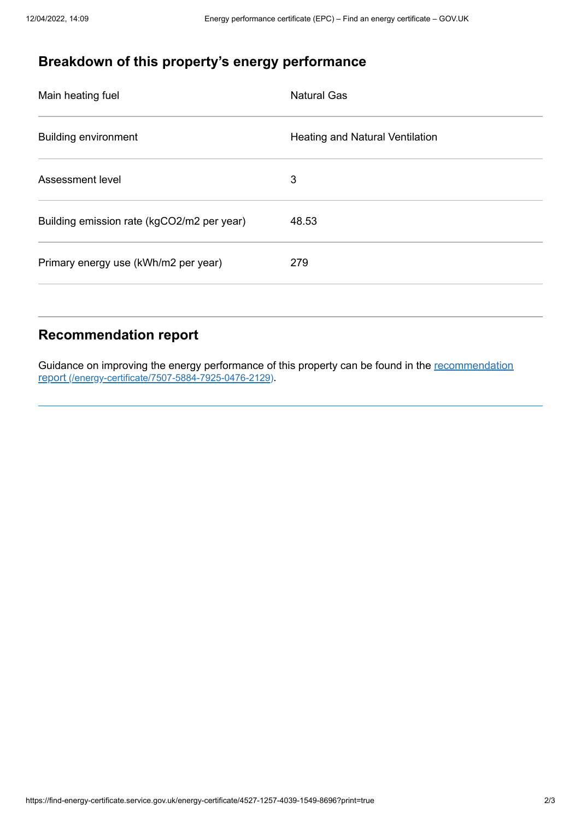# **Breakdown of this property's energy performance**

| <b>Natural Gas</b>                     |
|----------------------------------------|
| <b>Heating and Natural Ventilation</b> |
| 3                                      |
| 48.53                                  |
| 279                                    |
|                                        |

### **Recommendation report**

Guidance on improving the energy performance of this property can be found in the recommendation report [\(/energy-certificate/7507-5884-7925-0476-2129\)](https://find-energy-certificate.service.gov.uk/energy-certificate/7507-5884-7925-0476-2129).